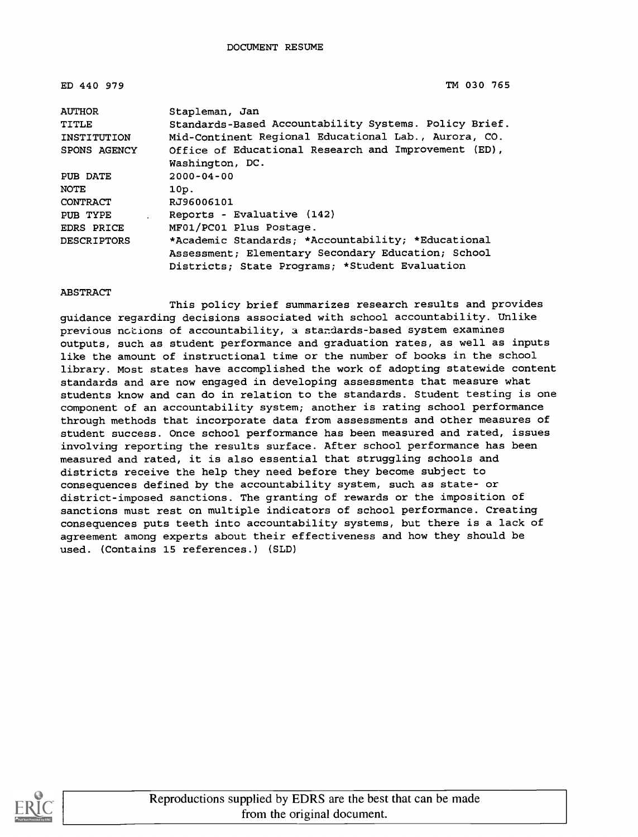| ED 440 979      | TM 030 765                                                                                                                                                 |
|-----------------|------------------------------------------------------------------------------------------------------------------------------------------------------------|
| <b>AUTHOR</b>   | Stapleman, Jan                                                                                                                                             |
| TITLE           | Standards-Based Accountability Systems. Policy Brief.                                                                                                      |
| INSTITUTION     | Mid-Continent Regional Educational Lab., Aurora, CO.                                                                                                       |
| SPONS AGENCY    | Office of Educational Research and Improvement (ED),<br>Washington, DC.                                                                                    |
| PUB DATE        | $2000 - 04 - 00$                                                                                                                                           |
| <b>NOTE</b>     | 10p.                                                                                                                                                       |
| <b>CONTRACT</b> | RJ96006101                                                                                                                                                 |
| PUB TYPE        | Reports - Evaluative (142)                                                                                                                                 |
| EDRS PRICE      | MF01/PC01 Plus Postage.                                                                                                                                    |
| DESCRIPTORS     | *Academic Standards; *Accountability; *Educational<br>Assessment; Elementary Secondary Education; School<br>Districts; State Programs; *Student Evaluation |
|                 |                                                                                                                                                            |

#### ABSTRACT

This policy brief summarizes research results and provides guidance regarding decisions associated with school accountability. Unlike previous notions of accountability, a standards-based system examines outputs, such as student performance and graduation rates, as well as inputs like the amount of instructional time or the number of books in the school library. Most states have accomplished the work of adopting statewide content standards and are now engaged in developing assessments that measure what students know and can do in relation to the standards. Student testing is one component of an accountability system; another is rating school performance through methods that incorporate data from assessments and other measures of student success. Once school performance has been measured and rated, issues involving reporting the results surface. After school performance has been measured and rated, it is also essential that struggling schools and districts receive the help they need before they become subject to consequences defined by the accountability system, such as state- or district-imposed sanctions. The granting of rewards or the imposition of sanctions must rest on multiple indicators of school performance. Creating consequences puts teeth into accountability systems, but there is a lack of agreement among experts about their effectiveness and how they should be used. (Contains 15 references.) (SLD)

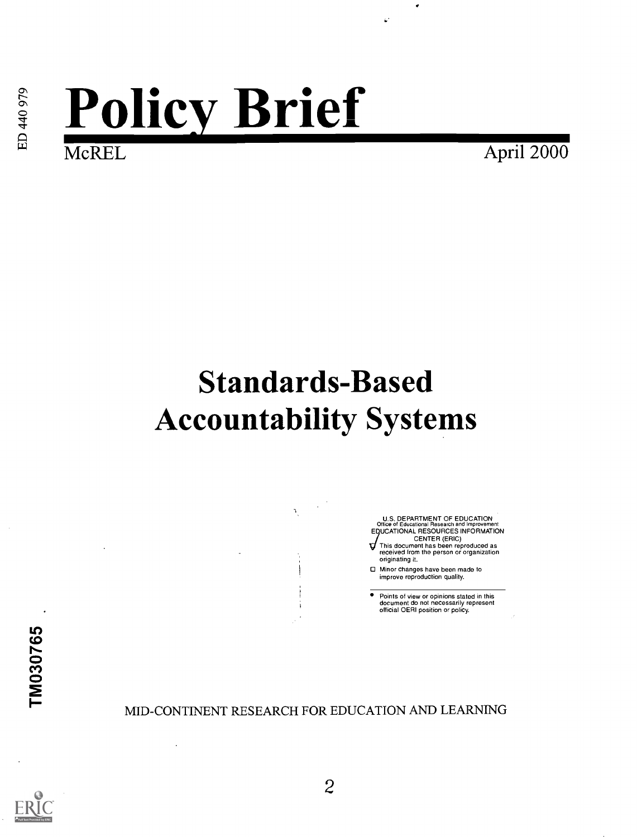# **Policy Brief**

April 2000

# Standards-Based Accountability Systems

U.S. DEPARTMENT OF EDUCATION Office of Educational Research and Improvement EDUCATIONAL RESOURCES INFORMATION CENTER (ERIC) This document has been reproduced as

۳ received from the person or organization originating it.

Minor changes have been made to improve reproduction quality.

Points of view or opinions stated in this document do not necessarily represent official OERI position or policy.

MID-CONTINENT RESEARCH FOR EDUCATION AND LEARNING

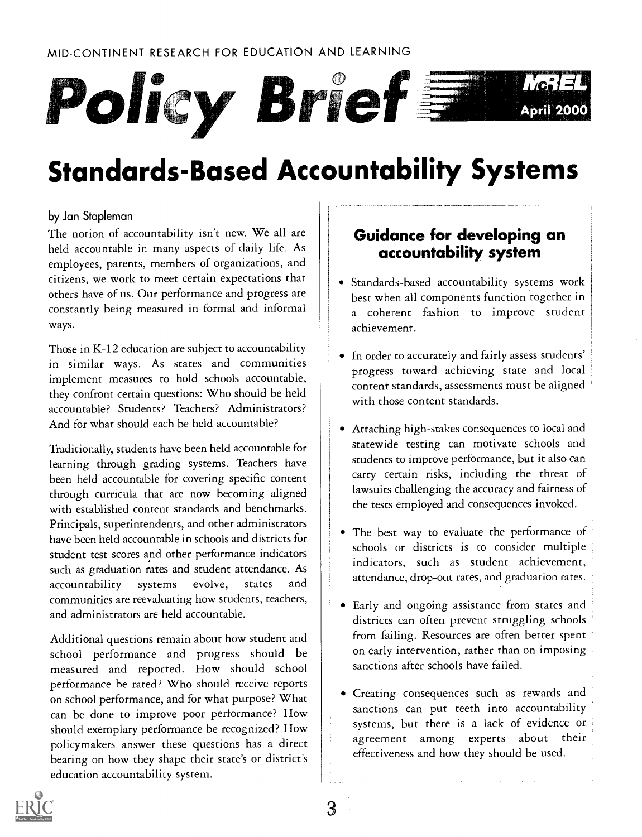

# Standards-Based Accountability Systems

#### by Jan Stapleman

The notion of accountability isn't new. We all are held accountable in many aspects of daily life. As employees, parents, members of organizations, and citizens, we work to meet certain expectations that others have of us. Our performance and progress are constantly being measured in formal and informal ways.

Those in K-12 education are subject to accountability in similar ways. As states and communities implement measures to hold schools accountable, they confront certain questions: Who should be held accountable? Students? Teachers? Administrators? And for what should each be held accountable?

Traditionally, students have been held accountable for learning through grading systems. Teachers have been held accountable for covering specific content through curricula that are now becoming aligned with established content standards and benchmarks. Principals, superintendents, and other administrators have been held accountable in schools and districts for student test scores and other performance indicators such as graduation rates and student attendance. As accountability systems evolve, states and communities are reevaluating how students, teachers, and administrators are held accountable.

Additional questions remain about how student and school performance and progress should be measured and reported. How should school performance be rated? Who should receive reports on school performance, and for what purpose? What can be done to improve poor performance? How should exemplary performance be recognized? How policymakers answer these questions has a direct bearing on how they shape their state's or district's education accountability system.

## Guidance for developing an accountability system

- Standards-based accountability systems work best when all components function together in a coherent fashion to improve student achievement.
- In order to accurately and fairly assess students' progress toward achieving state and local content standards, assessments must be aligned with those content standards.
- Attaching high-stakes consequences to local and statewide testing can motivate schools and students to improve performance, but it also can carry certain risks, including the threat of lawsuits challenging the accuracy and fairness of the tests employed and consequences invoked.
- The best way to evaluate the performance of schools or districts is to consider multiple indicators, such as student achievement, attendance, drop-out rates, and graduation rates.
- Early and ongoing assistance from states and districts can often prevent struggling schools from failing. Resources are often better spent on early intervention, rather than on imposing sanctions after schools have failed.
- Creating consequences such as rewards and sanctions can put teeth into accountability systems, but there is a lack of evidence or agreement among experts about their effectiveness and how they should be used.

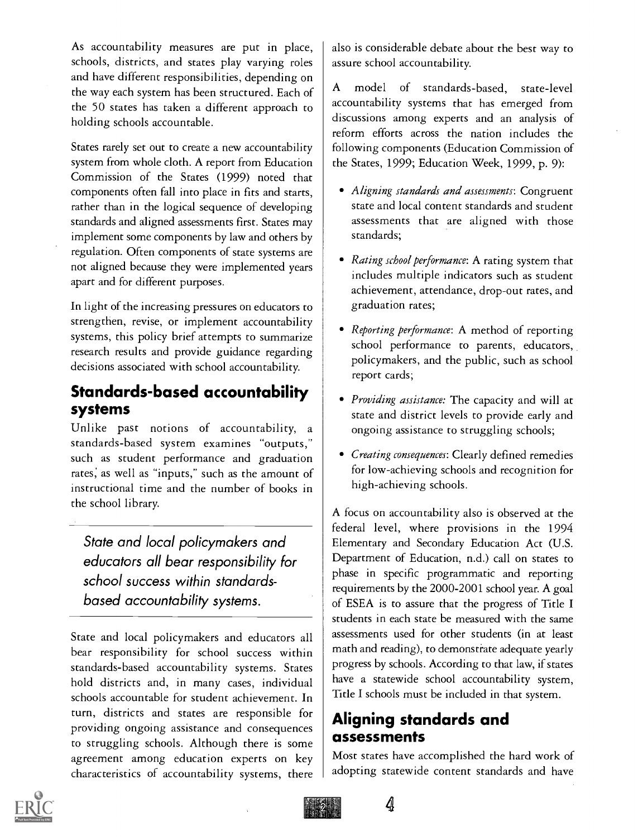As accountability measures are put in place, schools, districts, and states play varying roles and have different responsibilities, depending on  $\begin{bmatrix} 1 & 1 \\ 2 & 3 \end{bmatrix}$ the way each system has been structured. Each of the 50 states has taken a different approach to holding schools accountable.

States rarely set out to create a new accountability system from whole cloth. A report from Education Commission of the States (1999) noted that components often fall into place in fits and starts, rather than in the logical sequence of developing standards and aligned assessments first. States may implement some components by law and others by regulation. Often components of state systems are not aligned because they were implemented years apart and for different purposes.

In light of the increasing pressures on educators to strengthen, revise, or implement accountability systems, this policy brief attempts to summarize research results and provide guidance regarding decisions associated with school accountability.

## Standards-based accountability systems

Unlike past notions of accountability, a standards-based system examines "outputs," such as student performance and graduation rates; as well as "inputs," such as the amount of instructional time and the number of books in the school library.

State and local policymakers and educators all bear responsibility for school success within standardsbased accountability systems.

State and local policymakers and educators all bear responsibility for school success within standards-based accountability systems. States hold districts and, in many cases, individual schools accountable for student achievement. In turn, districts and states are responsible for providing ongoing assistance and consequences to struggling schools. Although there is some agreement among education experts on key characteristics of accountability systems, there

also is considerable debate about the best way to assure school accountability.

model of standards-based, state-level accountability systems that has emerged from discussions among experts and an analysis of reform efforts across the nation includes the following components (Education Commission of the States, 1999; Education Week, 1999, p. 9):

- Aligning standards and assessments: Congruent state and local content standards and student assessments that are aligned with those standards;
- Rating school performance: A rating system that includes multiple indicators such as student achievement, attendance, drop-out rates, and graduation rates;
- Reporting performance: A method of reporting school performance to parents, educators, policymakers, and the public, such as school report cards;
- Providing assistance: The capacity and will at state and district levels to provide early and ongoing assistance to struggling schools;
- Creating consequences: Clearly defined remedies for low-achieving schools and recognition for high-achieving schools.

A focus on accountability also is observed at the federal level, where provisions in the 1994 Elementary and Secondary Education Act (U.S. Department of Education, n.d.) call on states to phase in specific programmatic and reporting requirements by the 2000-2001 school year. A goal of ESEA is to assure that the progress of Title I students in each state be measured with the same assessments used for other students (in at least math and reading), to demonstrate adequate yearly progress by schools. According to that law, if states have a statewide school accountability system, Title I schools must be included in that system.

# Aligning standards and assessments

4

Most states have accomplished the hard work of adopting statewide content standards and have

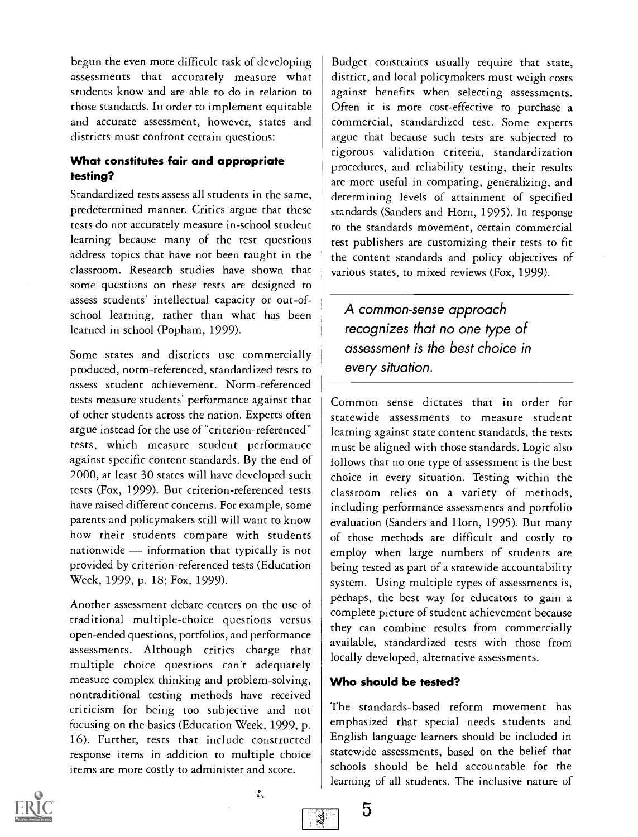begun the even more difficult task of developing assessments that accurately measure what students know and are able to do in relation to those standards. In order to implement equitable and accurate assessment, however, states and districts must confront certain questions:

#### What constitutes fair and appropriate testing?

Standardized tests assess all students in the same, predetermined manner. Critics argue that these tests do not accurately measure in-school student learning because many of the test questions address topics that have not been taught in the classroom. Research studies have shown that some questions on these tests are designed to assess students' intellectual capacity or out-ofschool learning, rather than what has been learned in school (Popham, 1999).

Some states and districts use commercially produced, norm-referenced, standardized tests to assess student achievement. Norm-referenced tests measure students' performance against that of other students across the nation. Experts often argue instead for the use of "criterion-referenced" tests, which measure student performance against specific content standards. By the end of 2000, at least 30 states will have developed such tests (Fox, 1999). But criterion-referenced tests have raised different concerns. For example, some parents and policymakers still will want to know how their students compare with students nationwide  $-$  information that typically is not provided by criterion-referenced tests (Education Week, 1999, p. 18; Fox, 1999).

Another assessment debate centers on the use of traditional multiple-choice questions versus open-ended questions, portfolios, and performance assessments. Although critics charge that multiple choice questions can't adequately measure complex thinking and problem-solving, nontraditional testing methods have received criticism for being too subjective and not focusing on the basics (Education Week, 1999, p. 16). Further, tests that include constructed response items in addition to multiple choice items are more costly to administer and score.

Budget constraints usually require that state, district, and local policymakers must weigh costs against benefits when selecting assessments. Often it is more cost-effective to purchase a commercial, standardized test. Some experts argue that because such tests are subjected to rigorous validation criteria, standardization procedures, and reliability testing, their results are more useful in comparing, generalizing, and determining levels of attainment of specified standards (Sanders and Horn, 1995). In response to the standards movement, certain commercial test publishers are customizing their tests to fit the content standards and policy objectives of various states, to mixed reviews (Fox, 1999).

A common-sense approach recognizes that no one type of assessment is the best choice in every situation.

Common sense dictates that in order for statewide assessments to measure student learning against state content standards, the tests must be aligned with those standards. Logic also follows that no one type of assessment is the best choice in every situation. Testing within the classroom relies on a variety of methods, including performance assessments and portfolio evaluation (Sanders and Horn, 1995). But many of those methods are difficult and costly to employ when large numbers of students are being tested as part of a statewide accountability system. Using multiple types of assessments is, perhaps, the best way for educators to gain a complete picture of student achievement because they can combine results from commercially available, standardized tests with those from locally developed, alternative assessments.

#### Who should be tested?

5

3

The standards-based reform movement has emphasized that special needs students and English language learners should be included in statewide assessments, based on the belief that schools should be held accountable for the learning of all students. The inclusive nature of

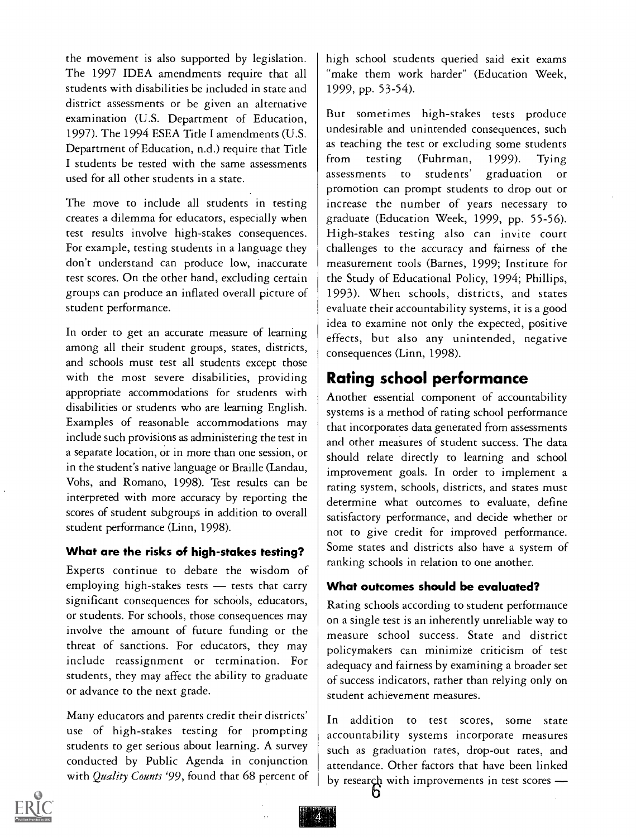the movement is also supported by legislation. The 1997 IDEA amendments require that all students with disabilities be included in state and district assessments or be given an alternative examination (U.S. Department of Education, 1997). The 1994 ESEA Title I amendments (U.S. Department of Education, n.d.) require that Title  $\begin{array}{c|c} \text{as } \text{tea} \\ \text{from } \end{array}$ I students be tested with the same assessments used for all other students in a state.

The move to include all students in testing creates a dilemma for educators, especially when test results involve high-stakes consequences. For example, testing students in a language they don't understand can produce low, inaccurate test scores. On the other hand, excluding certain groups can produce an inflated overall picture of student performance.

In order to get an accurate measure of learning among all their student groups, states, districts, and schools must test all students except those with the most severe disabilities, providing appropriate accommodations for students with disabilities or students who are learning English. Examples of reasonable accommodations may include such provisions as administering the test in a separate location, or in more than one session, or in the student's native language or Braille (Landau, Vohs, and Romano, 1998). Test results can be interpreted with more accuracy by reporting the scores of student subgroups in addition to overall student performance (Linn, 1998).

#### What are the risks of high-stakes testing?

Experts continue to debate the wisdom of employing high-stakes tests  $-$  tests that carry significant consequences for schools, educators, or students. For schools, those consequences may involve the amount of future funding or the threat of sanctions. For educators, they may include reassignment or termination. For students, they may affect the ability to graduate or advance to the next grade.

Many educators and parents credit their districts' use of high-stakes testing for prompting students to get serious about learning. A survey conducted by Public Agenda in conjunction with Quality Counts '99, found that 68 percent of high school students queried said exit exams "make them work harder" (Education Week, 1999, pp. 53-54).

But sometimes high-stakes tests produce undesirable and unintended consequences, such as teaching the test or excluding some students testing (Fuhrman, 1999). Tying assessments to students' graduation or promotion can prompt students to drop out or increase the number of years necessary to graduate (Education Week, 1999, pp. 55-56). High-stakes testing also can invite court challenges to the accuracy and fairness of the measurement tools (Barnes, 1999; Institute for the Study of Educational Policy, 1994; Phillips, 1993). When schools, districts, and states evaluate their accountability systems, it is a good idea to examine not only the expected, positive effects, but also any unintended, negative consequences (Linn, 1998).

# Rating school performance

Another essential component of accountability systems is a method of rating school performance that incorporates data generated from assessments and other measures of student success. The data should relate directly to learning and school improvement goals. In order to implement a rating system, schools, districts, and states must determine what outcomes to evaluate, define satisfactory performance, and decide whether or not to give credit for improved performance. Some states and districts also have a system of ranking schools in relation to one another.

#### What outcomes should be evaluated?

Rating schools according to student performance on a single test is an inherently unreliable way to measure school success. State and district policymakers can minimize criticism of test adequacy and fairness by examining a broader set of success indicators, rather than relying only on student achievement measures.

In addition to test scores, some state accountability systems incorporate measures such as graduation rates, drop-out rates, and attendance. Other factors that have been linked by research with improvements in test scores -

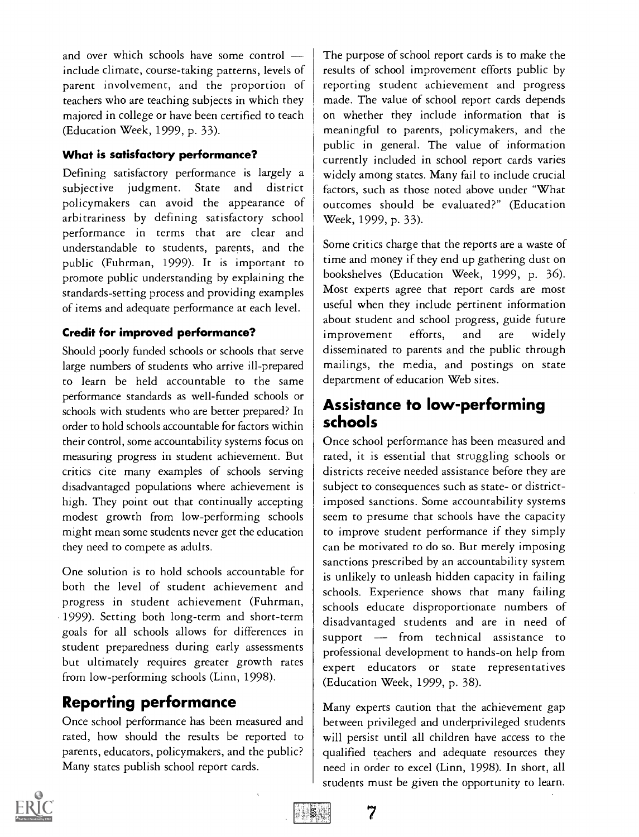and over which schools have some control include climate, course-taking patterns, levels of parent involvement, and the proportion of teachers who are teaching subjects in which they majored in college or have been certified to teach (Education Week, 1999, p. 33).

#### What is satisfactory performance?

Defining satisfactory performance is largely a subjective judgment. State and district policymakers can avoid the appearance of arbitrariness by defining satisfactory school performance in terms that are clear and understandable to students, parents, and the public (Fuhrman, 1999). It is important to promote public understanding by explaining the standards-setting process and providing examples of items and adequate performance at each level.

#### Credit for improved performance?

Should poorly funded schools or schools that serve large numbers of students who arrive ill-prepared to learn be held accountable to the same performance standards as well-funded schools or schools with students who are better prepared? In order to hold schools accountable for factors within their control, some accountability systems focus on measuring progress in student achievement. But critics cite many examples of schools serving disadvantaged populations where achievement is high. They point out that continually accepting modest growth from low-performing schools might mean some students never get the education they need to compete as adults.

One solution is to hold schools accountable for both the level of student achievement and progress in student achievement (Fuhrman, 1999). Setting both long-term and short-term goals for all schools allows for differences in student preparedness during early assessments but ultimately requires greater growth rates from low-performing schools (Linn, 1998).

# Reporting performance

Once school performance has been measured and rated, how should the results be reported to parents, educators, policymakers, and the public? Many states publish school report cards.

The purpose of school report cards is to make the results of school improvement efforts public by reporting student achievement and progress made. The value of school report cards depends on whether they include information that is meaningful to parents, policymakers, and the public in general. The value of information currently included in school report cards varies widely among states. Many fail to include crucial factors, such as those noted above under "What outcomes should be evaluated?" (Education Week, 1999, p. 33).

Some critics charge that the reports are a waste of time and money if they end up gathering dust on bookshelves (Education Week, 1999, p. 36). Most experts agree that report cards are most useful when they include pertinent information about student and school progress, guide future improvement efforts, and are widely disseminated to parents and the public through mailings, the media, and postings on state department of education Web sites.

# Assistance to low-performing schools

Once school performance has been measured and rated, it is essential that struggling schools or districts receive needed assistance before they are subject to consequences such as state- or districtimposed sanctions. Some accountability systems seem to presume that schools have the capacity to improve student performance if they simply can be motivated to do so. But merely imposing sanctions prescribed by an accountability system is unlikely to unleash hidden capacity in failing schools. Experience shows that many failing schools educate disproportionate numbers of disadvantaged students and are in need of support - from technical assistance to professional development to hands-on help from expert educators or state representatives (Education Week, 1999, p. 38).

Many experts caution that the achievement gap between privileged and underprivileged students will persist until all children have access to the qualified teachers and adequate resources they need in order to excel (Linn, 1998). In short, all students must be given the opportunity to learn.



7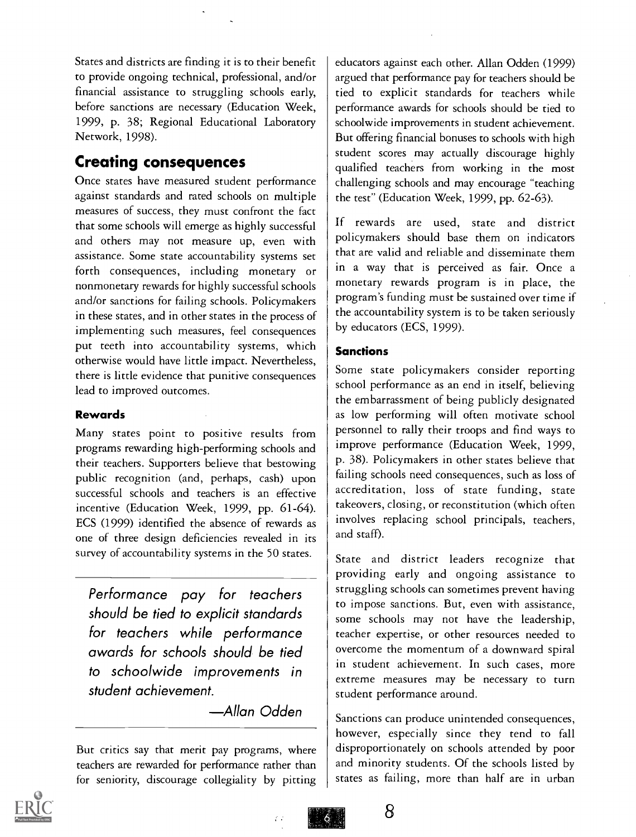States and districts are finding it is to their benefit to provide ongoing technical, professional, and/or financial assistance to struggling schools early, before sanctions are necessary (Education Week, 1999, p. 38; Regional Educational Laboratory Network, 1998).

## Creating consequences

Once states have measured student performance against standards and rated schools on multiple measures of success, they must confront the fact that some schools will emerge as highly successful and others may not measure up, even with assistance. Some state accountability systems set forth consequences, including monetary or nonmonetary rewards for highly successful schools and/or sanctions for failing schools. Policymakers in these states, and in other states in the process of implementing such measures, feel consequences put teeth into accountability systems, which otherwise would have little impact. Nevertheless, there is little evidence that punitive consequences lead to improved outcomes.

#### Rewards

Many states point to positive results from programs rewarding high-performing schools and their teachers. Supporters believe that bestowing public recognition (and, perhaps, cash) upon successful schools and teachers is an effective incentive (Education Week, 1999, pp. 61-64). ECS (1999) identified the absence of rewards as one of three design deficiencies revealed in its survey of accountability systems in the 50 states.

Performance pay for teachers should be tied to explicit standards for teachers while performance awards for schools should be tied to schoolwide improvements in student achievement.

Allan Odden

73

But critics say that merit pay programs, where teachers are rewarded for performance rather than for seniority, discourage collegiality by pitting

educators against each other. Allan Odden (1999) argued that performance pay for teachers should be tied to explicit standards for teachers while performance awards for schools should be tied to schoolwide improvements in student achievement. But offering financial bonuses to schools with high student scores may actually discourage highly qualified teachers from working in the most challenging schools and may encourage "teaching the test" (Education Week, 1999, pp. 62-63).

If rewards are used, state and district policymakers should base them on indicators that are valid and reliable and disseminate them in a way that is perceived as fair. Once a monetary rewards program is in place, the program's funding must be sustained over time if the accountability system is to be taken seriously by educators (ECS, 1999).

#### **Sanctions**

Some state policymakers consider reporting school performance as an end in itself, believing the embarrassment of being publicly designated as low performing will often motivate school personnel to rally their troops and find ways to improve performance (Education Week, 1999, p. 38). Policymakers in other states believe that failing schools need consequences, such as loss of accreditation, loss of state funding, state takeovers, closing, or reconstitution (which often involves replacing school principals, teachers, and staff).

State and district leaders recognize that providing early and ongoing assistance to struggling schools can sometimes prevent having to impose sanctions. But, even with assistance, some schools may not have the leadership, teacher expertise, or other resources needed to overcome the momentum of a downward spiral in student achievement. In such cases, more extreme measures may be necessary to turn student performance around.

Sanctions can produce unintended consequences, however, especially since they tend to fall disproportionately on schools attended by poor and minority students. Of the schools listed by states as failing, more than half are in urban



 $\ddot{\circ}$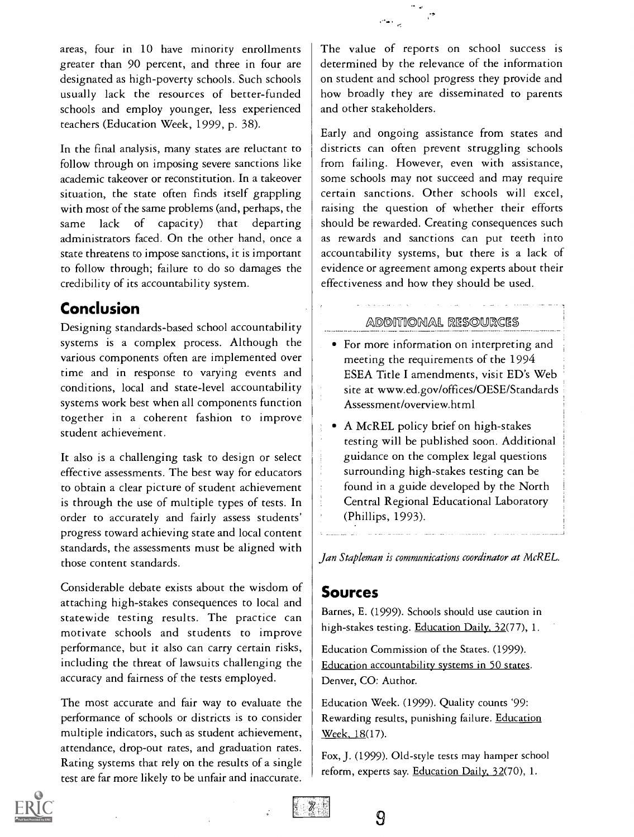areas, four in 10 have minority enrollments greater than 90 percent, and three in four are designated as high-poverty schools. Such schools usually lack the resources of better-funded schools and employ younger, less experienced teachers (Education Week, 1999, p. 38).

In the final analysis, many states are reluctant to follow through on imposing severe sanctions like academic takeover or reconstitution. In a takeover situation, the state often finds itself grappling with most of the same problems (and, perhaps, the same lack of capacity) that departing administrators faced. On the other hand, once a state threatens to impose sanctions, it is important to follow through; failure to do so damages the credibility of its accountability system.

# Conclusion

Designing standards-based school accountability systems is a complex process. Although the various components often are implemented over time and in response to varying events and conditions, local and state-level accountability systems work best when all components function together in a coherent fashion to improve student achievement.

It also is a challenging task to design or select effective assessments. The best way for educators to obtain a clear picture of student achievement is through the use of multiple types of tests. In order to accurately and fairly assess students' progress toward achieving state and local content standards, the assessments must be aligned with those content standards.

Considerable debate exists about the wisdom of attaching high-stakes consequences to local and statewide testing results. The practice can motivate schools and students to improve performance, but it also can carry certain risks, including the threat of lawsuits challenging the accuracy and fairness of the tests employed.

The most accurate and fair way to evaluate the performance of schools or districts is to consider multiple indicators, such as student achievement, attendance, drop-out rates, and graduation rates. Rating systems that rely on the results of a single test are far more likely to be unfair and inaccurate.

The value of reports on school success is determined by the relevance of the information on student and school progress they provide and how broadly they are disseminated to parents and other stakeholders.

Early and ongoing assistance from states and districts can often prevent struggling schools from failing. However, even with assistance, some schools may not succeed and may require certain sanctions. Other schools will excel, raising the question of whether their efforts should be rewarded. Creating consequences such as rewards and sanctions can put teeth into accountability systems, but there is a lack of evidence or agreement among experts about their effectiveness and how they should be used.

#### ADDITIONAL RESOURCES

- For more information on interpreting and meeting the requirements of the 1994 ESEA Title I amendments, visit ED's Web site at www.ed.gov/offices/OESE/Standards Assessment/overview.html
- A McREL policy brief on high-stakes testing will be published soon. Additional guidance on the complex legal questions surrounding high-stakes testing can be found in a guide developed by the North Central Regional Educational Laboratory (Phillips, 1993).

Jan Stapleman is communications coordinator at McREL.

#### Sources

Barnes, E. (1999). Schools should use caution in high-stakes testing. Education Daily, 32(77), 1.

Education Commission of the States. (1999). Education accountability systems in 50 states. Denver, CO: Author.

Education Week. (1999). Quality counts '99: Rewarding results, punishing failure. Education Week, 18(17).

Fox, J. (1999). Old-style tests may hamper school reform, experts say. Education Daily, 32(70), 1.





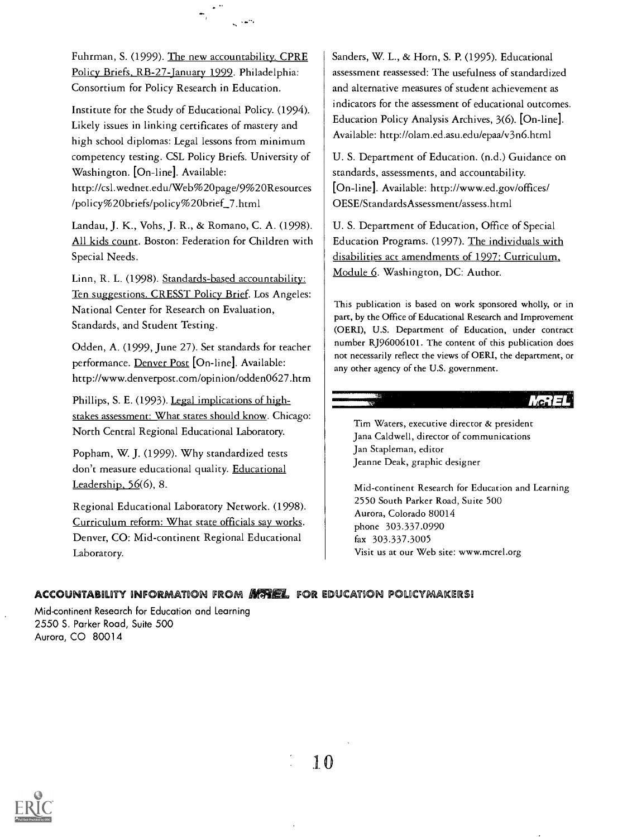Fuhrman, S. (1999). The new accountability. CPRE Policy Briefs, RB-27-January 1999. Philadelphia: Consortium for Policy Research in Education.

Institute for the Study of Educational Policy. (1994). Likely issues in linking certificates of mastery and high school diplomas: Legal lessons from minimum competency testing. CSL Policy Briefs. University of Washington. [On-line]. Available: http://csl.wednet.edu/Web%20page/9%20Resources /policy%20briefs/policy%20brief\_7.html

Landau, J. K., Vohs, J. R., & Romano, C. A. (1998). All kids count. Boston: Federation for Children with Special Needs.

Linn, R. L. (1998). Standards-based accountability: Ten suggestions. CRESST Policy Brief. Los Angeles: National Center for Research on Evaluation, Standards, and Student Testing.

Odden, A. (1999, June 27). Set standards for teacher performance. Denver Post [On-line]. Available: http://www.denverpost.com/opinion/odden0627.htm

Phillips, S. E. (1993). Legal implications of highstakes assessment: What states should know. Chicago: North Central Regional Educational Laboratory.

Popham, W. J. (1999). Why standardized tests don't measure educational quality. Educational Leadership, 56(6), 8.

Regional Educational Laboratory Network. (1998). Curriculum reform: What state officials say works. Denver, CO: Mid-continent Regional Educational Laboratory.

Sanders, W. L., & Horn, S. P. (1995). Educational assessment reassessed: The usefulness of standardized and alternative measures of student achievement as indicators for the assessment of educational outcomes. Education Policy Analysis Archives, 3(6). [On-line]. Available: http://olam.ed.asu.edu/epaa/v3n6.html

U. S. Department of Education. (n.d.) Guidance on standards, assessments, and accountability. [On-line]. Available: http://www.ed.gov/offices/ OESE/StandardsAssessment/assess.html

U. S. Department of Education, Office of Special Education Programs. (1997). The individuals with disabilities act amendments of 1997: Curriculum, Module 6. Washington, DC: Author.

This publication is based on work sponsored wholly, or in part, by the Office of Educational Research and Improvement (OERI), U.S. Department of Education, under contract number RJ96006101. The content of this publication does not necessarily reflect the views of OERI, the department, or any other agency of the U.S. government.

 $\text{Lc}: I \rightrightarrows I$ 

Tim Waters, executive director & president Jana Caldwell, director of communications Jan Stapleman, editor Jeanne Deak, graphic designer

Mid-continent Research for Education and Learning 2550 South Parker Road, Suite 500 Aurora, Colorado 80014 phone 303.337.0990 fax 303.337.3005 Visit us at our Web site: www.mcrel.org

#### ACCOUNTABILITY INFORMATION FROM **MEREL** FOR EDUCATION POLICYMAKERS!

Mid-continent Research for Education and Learning 2550 S. Parker Road, Suite 500 Aurora, CO 80014

1 0